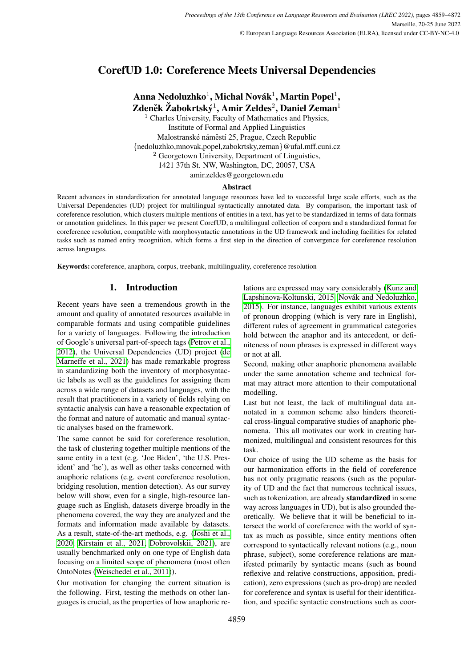# CorefUD 1.0: Coreference Meets Universal Dependencies

Anna Nedoluzhko $^1$ , Michal Novák $^1$ , Martin Popel $^1,$ 

Zdeněk Žabokrtský<sup>1</sup>, Amir Zeldes<sup>2</sup>, Daniel Zeman<sup>1</sup> <sup>1</sup> Charles University, Faculty of Mathematics and Physics, Institute of Formal and Applied Linguistics Malostranské náměstí 25, Prague, Czech Republic {nedoluzhko,mnovak,popel,zabokrtsky,zeman}@ufal.mff.cuni.cz <sup>2</sup> Georgetown University, Department of Linguistics, 1421 37th St. NW, Washington, DC, 20057, USA amir.zeldes@georgetown.edu

### Abstract

Recent advances in standardization for annotated language resources have led to successful large scale efforts, such as the Universal Dependencies (UD) project for multilingual syntactically annotated data. By comparison, the important task of coreference resolution, which clusters multiple mentions of entities in a text, has yet to be standardized in terms of data formats or annotation guidelines. In this paper we present CorefUD, a multilingual collection of corpora and a standardized format for coreference resolution, compatible with morphosyntactic annotations in the UD framework and including facilities for related tasks such as named entity recognition, which forms a first step in the direction of convergence for coreference resolution across languages.

Keywords: coreference, anaphora, corpus, treebank, multilinguality, coreference resolution

## 1. Introduction

Recent years have seen a tremendous growth in the amount and quality of annotated resources available in comparable formats and using compatible guidelines for a variety of languages. Following the introduction of Google's universal part-of-speech tags [\(Petrov et al.,](#page-9-0) [2012\)](#page-9-0), the Universal Dependencies (UD) project [\(de](#page-8-0) [Marneffe et al., 2021\)](#page-8-0) has made remarkable progress in standardizing both the inventory of morphosyntactic labels as well as the guidelines for assigning them across a wide range of datasets and languages, with the result that practitioners in a variety of fields relying on syntactic analysis can have a reasonable expectation of the format and nature of automatic and manual syntactic analyses based on the framework.

The same cannot be said for coreference resolution, the task of clustering together multiple mentions of the same entity in a text (e.g. 'Joe Biden', 'the U.S. President' and 'he'), as well as other tasks concerned with anaphoric relations (e.g. event coreference resolution, bridging resolution, mention detection). As our survey below will show, even for a single, high-resource language such as English, datasets diverge broadly in the phenomena covered, the way they are analyzed and the formats and information made available by datasets. As a result, state-of-the-art methods, e.g. [\(Joshi et al.,](#page-8-1) [2020,](#page-8-1) [Kirstain et al., 2021,](#page-8-2) [Dobrovolskii, 2021\)](#page-8-3), are usually benchmarked only on one type of English data focusing on a limited scope of phenomena (most often OntoNotes [\(Weischedel et al., 2011\)](#page-10-0)).

Our motivation for changing the current situation is the following. First, testing the methods on other languages is crucial, as the properties of how anaphoric relations are expressed may vary considerably [\(Kunz and](#page-8-4) [Lapshinova-Koltunski, 2015,](#page-8-4) Novák and Nedoluzhko, [2015\)](#page-9-1). For instance, languages exhibit various extents of pronoun dropping (which is very rare in English), different rules of agreement in grammatical categories hold between the anaphor and its antecedent, or definiteness of noun phrases is expressed in different ways or not at all.

Second, making other anaphoric phenomena available under the same annotation scheme and technical format may attract more attention to their computational modelling.

Last but not least, the lack of multilingual data annotated in a common scheme also hinders theoretical cross-lingual comparative studies of anaphoric phenomena. This all motivates our work in creating harmonized, multilingual and consistent resources for this task.

Our choice of using the UD scheme as the basis for our harmonization efforts in the field of coreference has not only pragmatic reasons (such as the popularity of UD and the fact that numerous technical issues, such as tokenization, are already standardized in some way across languages in UD), but is also grounded theoretically. We believe that it will be beneficial to intersect the world of coreference with the world of syntax as much as possible, since entity mentions often correspond to syntactically relevant notions (e.g., noun phrase, subject), some coreference relations are manifested primarily by syntactic means (such as bound reflexive and relative constructions, apposition, predication), zero expressions (such as pro-drop) are needed for coreference and syntax is useful for their identification, and specific syntactic constructions such as coor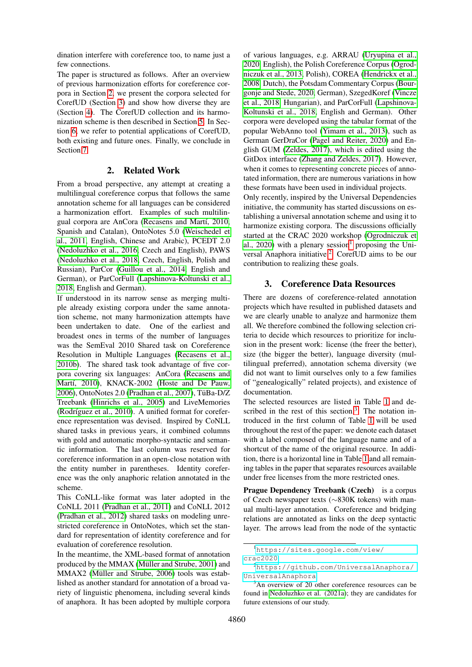dination interfere with coreference too, to name just a few connections.

The paper is structured as follows. After an overview of previous harmonization efforts for coreference corpora in Section [2,](#page-1-0) we present the corpora selected for CorefUD (Section [3\)](#page-1-1) and show how diverse they are (Section [4\)](#page-3-0). The CorefUD collection and its harmonization scheme is then described in Section [5.](#page-5-0) In Section [6,](#page-7-0) we refer to potential applications of CorefUD, both existing and future ones. Finally, we conclude in Section [7.](#page-7-1)

### 2. Related Work

<span id="page-1-0"></span>From a broad perspective, any attempt at creating a multilingual coreference corpus that follows the same annotation scheme for all languages can be considered a harmonization effort. Examples of such multilingual corpora are AnCora (Recasens and Martí, 2010, Spanish and Catalan), OntoNotes 5.0 [\(Weischedel et](#page-10-0) [al., 2011,](#page-10-0) English, Chinese and Arabic), PCEDT 2.0 [\(Nedoluzhko et al., 2016,](#page-9-3) Czech and English), PAWS [\(Nedoluzhko et al., 2018,](#page-9-4) Czech, English, Polish and Russian), ParCor [\(Guillou et al., 2014,](#page-8-5) English and German), or ParCorFull [\(Lapshinova-Koltunski et al.,](#page-8-6) [2018,](#page-8-6) English and German).

If understood in its narrow sense as merging multiple already existing corpora under the same annotation scheme, not many harmonization attempts have been undertaken to date. One of the earliest and broadest ones in terms of the number of languages was the SemEval 2010 Shared task on Coreference Resolution in Multiple Languages [\(Recasens et al.,](#page-9-5) [2010b\)](#page-9-5). The shared task took advantage of five corpora covering six languages: AnCora [\(Recasens and](#page-9-2) Martí, 2010), KNACK-2002 [\(Hoste and De Pauw,](#page-8-7) [2006\)](#page-8-7), OntoNotes 2.0 [\(Pradhan et al., 2007\)](#page-9-6), TüBa-D/Z Treebank [\(Hinrichs et al., 2005\)](#page-8-8) and LiveMemories (Rodríguez et al., 2010). A unified format for coreference representation was devised. Inspired by CoNLL shared tasks in previous years, it combined columns with gold and automatic morpho-syntactic and semantic information. The last column was reserved for coreference information in an open-close notation with the entity number in parentheses. Identity coreference was the only anaphoric relation annotated in the scheme.

This CoNLL-like format was later adopted in the CoNLL 2011 [\(Pradhan et al., 2011\)](#page-9-8) and CoNLL 2012 [\(Pradhan et al., 2012\)](#page-9-9) shared tasks on modeling unrestricted coreference in OntoNotes, which set the standard for representation of identity coreference and for evaluation of coreference resolution.

In the meantime, the XML-based format of annotation produced by the MMAX (Müller and Strube, 2001) and MMAX2 (Müller and Strube, 2006) tools was established as another standard for annotation of a broad variety of linguistic phenomena, including several kinds of anaphora. It has been adopted by multiple corpora

of various languages, e.g. ARRAU [\(Uryupina et al.,](#page-10-1) [2020,](#page-10-1) English), the Polish Coreference Corpus [\(Ogrod](#page-9-10)[niczuk et al., 2013,](#page-9-10) Polish), COREA [\(Hendrickx et al.,](#page-8-11) [2008,](#page-8-11) Dutch), the Potsdam Commentary Corpus [\(Bour](#page-8-12)[gonje and Stede, 2020,](#page-8-12) German), SzegedKoref [\(Vincze](#page-10-2) [et al., 2018,](#page-10-2) Hungarian), and ParCorFull [\(Lapshinova-](#page-8-6)[Koltunski et al., 2018,](#page-8-6) English and German). Other corpora were developed using the tabular format of the popular WebAnno tool [\(Yimam et al., 2013\)](#page-10-3), such as German GerDraCor [\(Pagel and Reiter, 2020\)](#page-9-11) and English GUM [\(Zeldes, 2017\)](#page-10-4), which is edited using the GitDox interface [\(Zhang and Zeldes, 2017\)](#page-10-5). However, when it comes to representing concrete pieces of annotated information, there are numerous variations in how these formats have been used in individual projects. Only recently, inspired by the Universal Dependencies initiative, the community has started discussions on establishing a universal annotation scheme and using it to harmonize existing corpora. The discussions officially started at the CRAC 2020 workshop [\(Ogrodniczuk et](#page-9-12) al.,  $2020$ ) with a plenary session<sup>[1](#page-1-2)</sup> proposing the Uni-versal Anaphora initiative.<sup>[2](#page-1-3)</sup> CorefUD aims to be our

## 3. Coreference Data Resources

<span id="page-1-1"></span>contribution to realizing these goals.

There are dozens of coreference-related annotation projects which have resulted in published datasets and we are clearly unable to analyze and harmonize them all. We therefore combined the following selection criteria to decide which resources to prioritize for inclusion in the present work: license (the freer the better), size (the bigger the better), language diversity (multilingual preferred), annotation schema diversity (we did not want to limit ourselves only to a few families of "genealogically" related projects), and existence of documentation.

The selected resources are listed in Table [1](#page-2-0) and described in the rest of this section. $3$  The notation introduced in the first column of Table [1](#page-2-0) will be used throughout the rest of the paper: we denote each dataset with a label composed of the language name and of a shortcut of the name of the original resource. In addition, there is a horizontal line in Table [1](#page-2-0) and all remaining tables in the paper that separates resources available under free licenses from the more restricted ones.

Prague Dependency Treebank (Czech) is a corpus of Czech newspaper texts (∼830K tokens) with manual multi-layer annotation. Coreference and bridging relations are annotated as links on the deep syntactic layer. The arrows lead from the node of the syntactic

<span id="page-1-2"></span><sup>1</sup>[https://sites.google.com/view/](https://sites.google.com/view/crac2020) [crac2020](https://sites.google.com/view/crac2020)

<span id="page-1-3"></span><sup>2</sup>[https://github.com/UniversalAnaphora/](https://github.com/UniversalAnaphora/UniversalAnaphora) [UniversalAnaphora](https://github.com/UniversalAnaphora/UniversalAnaphora)

<span id="page-1-4"></span> $3$ An overview of 20 other coreference resources can be found in [Nedoluzhko et al. \(2021a\)](#page-9-13); they are candidates for future extensions of our study.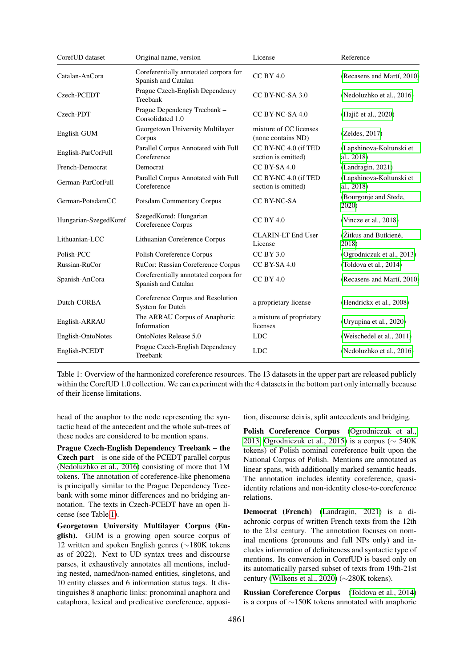| CorefUD dataset       | Original name, version                                       | License                                      | Reference                              |
|-----------------------|--------------------------------------------------------------|----------------------------------------------|----------------------------------------|
| Catalan-AnCora        | Coreferentially annotated corpora for<br>Spanish and Catalan | $CC$ BY $4.0$                                | (Recasens and Martí, 2010)             |
| Czech-PCEDT           | Prague Czech-English Dependency<br>Treebank                  | CC BY-NC-SA 3.0                              | (Nedoluzhko et al., 2016)              |
| Czech-PDT             | Prague Dependency Treebank -<br>Consolidated 1.0             | CC BY-NC-SA 4.0                              | (Hajič et al., 2020)                   |
| English-GUM           | Georgetown University Multilayer<br>Corpus                   | mixture of CC licenses<br>(none contains ND) | (Zeldes, 2017)                         |
| English-ParCorFull    | Parallel Corpus Annotated with Full<br>Coreference           | CC BY-NC 4.0 (if TED<br>section is omitted)  | (Lapshinova-Koltunski et<br>al., 2018) |
| French-Democrat       | Democrat                                                     | CC BY-SA 4.0                                 | (Landragin, 2021)                      |
| German-ParCorFull     | Parallel Corpus Annotated with Full<br>Coreference           | CC BY-NC 4.0 (if TED<br>section is omitted)  | (Lapshinova-Koltunski et<br>al., 2018) |
| German-PotsdamCC      | <b>Potsdam Commentary Corpus</b>                             | CC BY-NC-SA                                  | (Bourgonje and Stede,<br>2020)         |
| Hungarian-SzegedKoref | SzegedKored: Hungarian<br>Coreference Corpus                 | $CC$ BY 4.0                                  | (Vincze et al., 2018)                  |
| Lithuanian-LCC        | Lithuanian Coreference Corpus                                | <b>CLARIN-LT End User</b><br>License         | (Žitkus and Butkienė,<br>2018)         |
| Polish-PCC            | Polish Coreference Corpus                                    | $CC$ BY 3.0                                  | (Ogrodniczuk et al., 2013)             |
| Russian-RuCor         | RuCor: Russian Coreference Corpus                            | CC BY-SA 4.0                                 | (Toldova et al., 2014)                 |
| Spanish-AnCora        | Coreferentially annotated corpora for<br>Spanish and Catalan | $CC$ BY $4.0$                                | (Recasens and Martí, 2010)             |
| Dutch-COREA           | Coreference Corpus and Resolution<br>System for Dutch        | a proprietary license                        | (Hendrickx et al., 2008)               |
| English-ARRAU         | The ARRAU Corpus of Anaphoric<br>Information                 | a mixture of proprietary<br>licenses         | (Uryupina et al., 2020)                |
| English-OntoNotes     | OntoNotes Release 5.0                                        | <b>LDC</b>                                   | (Weischedel et al., 2011)              |
| English-PCEDT         | Prague Czech-English Dependency<br>Treebank                  | <b>LDC</b>                                   | (Nedoluzhko et al., 2016)              |

<span id="page-2-0"></span>Table 1: Overview of the harmonized coreference resources. The 13 datasets in the upper part are released publicly within the CorefUD 1.0 collection. We can experiment with the 4 datasets in the bottom part only internally because of their license limitations.

head of the anaphor to the node representing the syntactic head of the antecedent and the whole sub-trees of these nodes are considered to be mention spans.

Prague Czech-English Dependency Treebank – the Czech part is one side of the PCEDT parallel corpus [\(Nedoluzhko et al., 2016\)](#page-9-3) consisting of more that 1M tokens. The annotation of coreference-like phenomena is principally similar to the Prague Dependency Treebank with some minor differences and no bridging annotation. The texts in Czech-PCEDT have an open license (see Table [1\)](#page-2-0).

Georgetown University Multilayer Corpus (English). GUM is a growing open source corpus of 12 written and spoken English genres (∼180K tokens as of 2022). Next to UD syntax trees and discourse parses, it exhaustively annotates all mentions, including nested, named/non-named entities, singletons, and 10 entity classes and 6 information status tags. It distinguishes 8 anaphoric links: pronominal anaphora and cataphora, lexical and predicative coreference, apposition, discourse deixis, split antecedents and bridging.

Polish Coreference Corpus [\(Ogrodniczuk et al.,](#page-9-10) [2013,](#page-9-10) [Ogrodniczuk et al., 2015\)](#page-9-14) is a corpus ( $\sim$  540K tokens) of Polish nominal coreference built upon the National Corpus of Polish. Mentions are annotated as linear spans, with additionally marked semantic heads. The annotation includes identity coreference, quasiidentity relations and non-identity close-to-coreference relations.

Democrat (French) [\(Landragin, 2021\)](#page-8-14) is a diachronic corpus of written French texts from the 12th to the 21st century. The annotation focuses on nominal mentions (pronouns and full NPs only) and includes information of definiteness and syntactic type of mentions. Its conversion in CorefUD is based only on its automatically parsed subset of texts from 19th-21st century [\(Wilkens et al., 2020\)](#page-10-8) (∼280K tokens).

Russian Coreference Corpus [\(Toldova et al., 2014\)](#page-10-7) is a corpus of ∼150K tokens annotated with anaphoric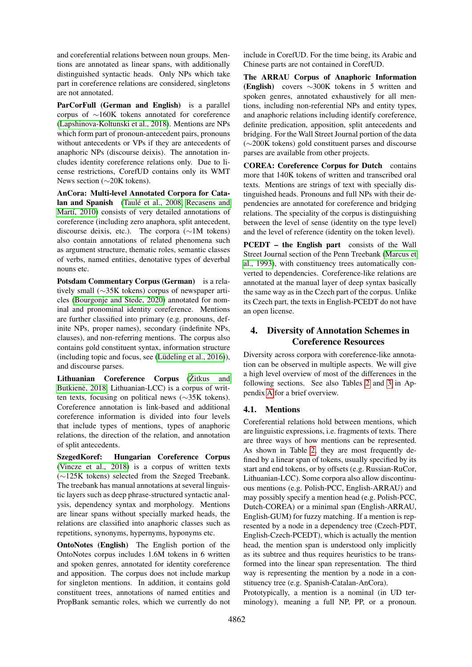and coreferential relations between noun groups. Mentions are annotated as linear spans, with additionally distinguished syntactic heads. Only NPs which take part in coreference relations are considered, singletons are not annotated.

ParCorFull (German and English) is a parallel corpus of ∼160K tokens annotated for coreference [\(Lapshinova-Koltunski et al., 2018\)](#page-8-6). Mentions are NPs which form part of pronoun-antecedent pairs, pronouns without antecedents or VPs if they are antecedents of anaphoric NPs (discourse deixis). The annotation includes identity coreference relations only. Due to license restrictions, CorefUD contains only its WMT News section (∼20K tokens).

AnCora: Multi-level Annotated Corpora for Cata-lan and Spanish (Taulé et al., 2008, [Recasens and](#page-9-2) Martí, 2010) consists of very detailed annotations of coreference (including zero anaphora, split antecedent, discourse deixis, etc.). The corpora (∼1M tokens) also contain annotations of related phenomena such as argument structure, thematic roles, semantic classes of verbs, named entities, denotative types of deverbal nouns etc.

Potsdam Commentary Corpus (German) is a relatively small (∼35K tokens) corpus of newspaper articles [\(Bourgonje and Stede, 2020\)](#page-8-12) annotated for nominal and pronominal identity coreference. Mentions are further classified into primary (e.g. pronouns, definite NPs, proper names), secondary (indefinite NPs, clauses), and non-referring mentions. The corpus also contains gold constituent syntax, information structure  $(including topic and focus, see (Lüdeling et al., 2016)),$ and discourse parses.

Lithuanian Coreference Corpus (Žitkus and Butkienė, 2018, Lithuanian-LCC) is a corpus of written texts, focusing on political news (∼35K tokens). Coreference annotation is link-based and additional coreference information is divided into four levels that include types of mentions, types of anaphoric relations, the direction of the relation, and annotation of split antecedents.

SzegedKoref: Hungarian Coreference Corpus [\(Vincze et al., 2018\)](#page-10-2) is a corpus of written texts (∼125K tokens) selected from the Szeged Treebank. The treebank has manual annotations at several linguistic layers such as deep phrase-structured syntactic analysis, dependency syntax and morphology. Mentions are linear spans without specially marked heads, the relations are classified into anaphoric classes such as repetitions, synonyms, hypernyms, hyponyms etc.

OntoNotes (English) The English portion of the OntoNotes corpus includes 1.6M tokens in 6 written and spoken genres, annotated for identity coreference and apposition. The corpus does not include markup for singleton mentions. In addition, it contains gold constituent trees, annotations of named entities and PropBank semantic roles, which we currently do not include in CorefUD. For the time being, its Arabic and Chinese parts are not contained in CorefUD.

The ARRAU Corpus of Anaphoric Information (English) covers ∼300K tokens in 5 written and spoken genres, annotated exhaustively for all mentions, including non-referential NPs and entity types, and anaphoric relations including identify coreference, definite predication, apposition, split antecedents and bridging. For the Wall Street Journal portion of the data (∼200K tokens) gold constituent parses and discourse parses are available from other projects.

COREA: Coreference Corpus for Dutch contains more that 140K tokens of written and transcribed oral texts. Mentions are strings of text with specially distinguished heads. Pronouns and full NPs with their dependencies are annotated for coreference and bridging relations. The speciality of the corpus is distinguishing between the level of sense (identity on the type level) and the level of reference (identity on the token level).

PCEDT – the English part consists of the Wall Street Journal section of the Penn Treebank [\(Marcus et](#page-8-16) [al., 1993\)](#page-8-16), with constituency trees automatically converted to dependencies. Coreference-like relations are annotated at the manual layer of deep syntax basically the same way as in the Czech part of the corpus. Unlike its Czech part, the texts in English-PCEDT do not have an open license.

# <span id="page-3-0"></span>4. Diversity of Annotation Schemes in Coreference Resources

Diversity across corpora with coreference-like annotation can be observed in multiple aspects. We will give a high level overview of most of the differences in the following sections. See also Tables [2](#page-11-0) and [3](#page-11-1) in Appendix [A](#page-11-2) for a brief overview.

### 4.1. Mentions

Coreferential relations hold between mentions, which are linguistic expressions, i.e. fragments of texts. There are three ways of how mentions can be represented. As shown in Table [2,](#page-11-0) they are most frequently defined by a linear span of tokens, usually specified by its start and end tokens, or by offsets (e.g. Russian-RuCor, Lithuanian-LCC). Some corpora also allow discontinuous mentions (e.g. Polish-PCC, English-ARRAU) and may possibly specify a mention head (e.g. Polish-PCC, Dutch-COREA) or a minimal span (English-ARRAU, English-GUM) for fuzzy matching. If a mention is represented by a node in a dependency tree (Czech-PDT, English-Czech-PCEDT), which is actually the mention head, the mention span is understood only implicitly as its subtree and thus requires heuristics to be transformed into the linear span representation. The third way is representing the mention by a node in a constituency tree (e.g. Spanish-Catalan-AnCora).

Prototypically, a mention is a nominal (in UD terminology), meaning a full NP, PP, or a pronoun.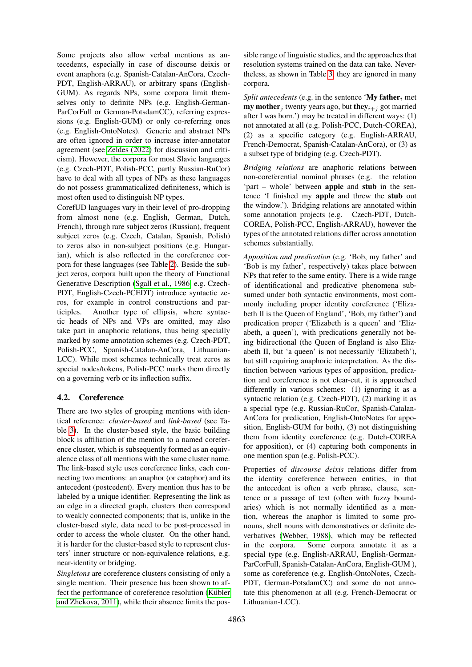Some projects also allow verbal mentions as antecedents, especially in case of discourse deixis or event anaphora (e.g. Spanish-Catalan-AnCora, Czech-PDT, English-ARRAU), or arbitrary spans (English-GUM). As regards NPs, some corpora limit themselves only to definite NPs (e.g. English-German-ParCorFull or German-PotsdamCC), referring expressions (e.g. English-GUM) or only co-referring ones (e.g. English-OntoNotes). Generic and abstract NPs are often ignored in order to increase inter-annotator agreement (see [Zeldes \(2022\)](#page-10-10) for discussion and criticism). However, the corpora for most Slavic languages (e.g. Czech-PDT, Polish-PCC, partly Russian-RuCor) have to deal with all types of NPs as these languages do not possess grammaticalized definiteness, which is most often used to distinguish NP types.

CorefUD languages vary in their level of pro-dropping from almost none (e.g. English, German, Dutch, French), through rare subject zeros (Russian), frequent subject zeros (e.g. Czech, Catalan, Spanish, Polish) to zeros also in non-subject positions (e.g. Hungarian), which is also reflected in the coreference corpora for these languages (see Table [2\)](#page-11-0). Beside the subject zeros, corpora built upon the theory of Functional Generative Description [\(Sgall et al., 1986,](#page-10-11) e.g. Czech-PDT, English-Czech-PCEDT) introduce syntactic zeros, for example in control constructions and participles. Another type of ellipsis, where syntactic heads of NPs and VPs are omitted, may also take part in anaphoric relations, thus being specially marked by some annotation schemes (e.g. Czech-PDT, Polish-PCC, Spanish-Catalan-AnCora, Lithuanian-LCC). While most schemes technically treat zeros as special nodes/tokens, Polish-PCC marks them directly on a governing verb or its inflection suffix.

### 4.2. Coreference

There are two styles of grouping mentions with identical reference: *cluster-based* and *link-based* (see Table [3\)](#page-11-1). In the cluster-based style, the basic building block is affiliation of the mention to a named coreference cluster, which is subsequently formed as an equivalence class of all mentions with the same cluster name. The link-based style uses coreference links, each connecting two mentions: an anaphor (or cataphor) and its antecedent (postcedent). Every mention thus has to be labeled by a unique identifier. Representing the link as an edge in a directed graph, clusters then correspond to weakly connected components; that is, unlike in the cluster-based style, data need to be post-processed in order to access the whole cluster. On the other hand, it is harder for the cluster-based style to represent clusters' inner structure or non-equivalence relations, e.g. near-identity or bridging.

*Singletons* are coreference clusters consisting of only a single mention. Their presence has been shown to affect the performance of coreference resolution (Kübler [and Zhekova, 2011\)](#page-8-17), while their absence limits the pos-

sible range of linguistic studies, and the approaches that resolution systems trained on the data can take. Nevertheless, as shown in Table [3,](#page-11-1) they are ignored in many corpora.

*Split antecedents* (e.g. in the sentence 'My father<sub>i</sub> met **my mother** it wenty years ago, but **they**<sub>i+j</sub> got married after I was born.') may be treated in different ways: (1) not annotated at all (e.g. Polish-PCC, Dutch-COREA), (2) as a specific category (e.g. English-ARRAU, French-Democrat, Spanish-Catalan-AnCora), or (3) as a subset type of bridging (e.g. Czech-PDT).

*Bridging relations* are anaphoric relations between non-coreferential nominal phrases (e.g. the relation 'part – whole' between apple and stub in the sentence 'I finished my apple and threw the stub out the window.'). Bridging relations are annotated within some annotation projects (e.g. Czech-PDT, Dutch-COREA, Polish-PCC, English-ARRAU), however the types of the annotated relations differ across annotation schemes substantially.

*Apposition and predication* (e.g. 'Bob, my father' and 'Bob is my father', respectively) takes place between NPs that refer to the same entity. There is a wide range of identificational and predicative phenomena subsumed under both syntactic environments, most commonly including proper identity coreference ('Elizabeth II is the Queen of England', 'Bob, my father') and predication proper ('Elizabeth is a queen' and 'Elizabeth, a queen'), with predications generally not being bidirectional (the Queen of England is also Elizabeth II, but 'a queen' is not necessarily 'Elizabeth'), but still requiring anaphoric interpretation. As the distinction between various types of apposition, predication and coreference is not clear-cut, it is approached differently in various schemes: (1) ignoring it as a syntactic relation (e.g. Czech-PDT), (2) marking it as a special type (e.g. Russian-RuCor, Spanish-Catalan-AnCora for predication, English-OntoNotes for apposition, English-GUM for both), (3) not distinguishing them from identity coreference (e.g. Dutch-COREA for apposition), or (4) capturing both components in one mention span (e.g. Polish-PCC).

Properties of *discourse deixis* relations differ from the identity coreference between entities, in that the antecedent is often a verb phrase, clause, sentence or a passage of text (often with fuzzy boundaries) which is not normally identified as a mention, whereas the anaphor is limited to some pronouns, shell nouns with demonstratives or definite deverbatives [\(Webber, 1988\)](#page-10-12), which may be reflected in the corpora. Some corpora annotate it as a special type (e.g. English-ARRAU, English-German-ParCorFull, Spanish-Catalan-AnCora, English-GUM ), some as coreference (e.g. English-OntoNotes, Czech-PDT, German-PotsdamCC) and some do not annotate this phenomenon at all (e.g. French-Democrat or Lithuanian-LCC).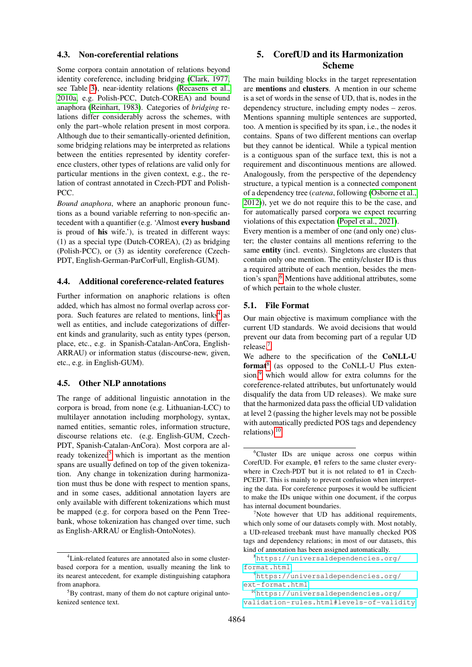#### 4.3. Non-coreferential relations

Some corpora contain annotation of relations beyond identity coreference, including bridging [\(Clark, 1977,](#page-8-18) see Table [3\)](#page-11-1), near-identity relations [\(Recasens et al.,](#page-9-15) [2010a,](#page-9-15) e.g. Polish-PCC, Dutch-COREA) and bound anaphora [\(Reinhart, 1983\)](#page-9-16). Categories of *bridging* relations differ considerably across the schemes, with only the part–whole relation present in most corpora. Although due to their semantically-oriented definition, some bridging relations may be interpreted as relations between the entities represented by identity coreference clusters, other types of relations are valid only for particular mentions in the given context, e.g., the relation of contrast annotated in Czech-PDT and Polish-PCC.

*Bound anaphora*, where an anaphoric pronoun functions as a bound variable referring to non-specific antecedent with a quantifier (e.g. 'Almost every husband is proud of his wife.'), is treated in different ways: (1) as a special type (Dutch-COREA), (2) as bridging (Polish-PCC), or (3) as identity coreference (Czech-PDT, English-German-ParCorFull, English-GUM).

### 4.4. Additional coreference-related features

Further information on anaphoric relations is often added, which has almost no formal overlap across cor-pora. Such features are related to mentions, links<sup>[4](#page-5-1)</sup> as well as entities, and include categorizations of different kinds and granularity, such as entity types (person, place, etc., e.g. in Spanish-Catalan-AnCora, English-ARRAU) or information status (discourse-new, given, etc., e.g. in English-GUM).

#### 4.5. Other NLP annotations

The range of additional linguistic annotation in the corpora is broad, from none (e.g. Lithuanian-LCC) to multilayer annotation including morphology, syntax, named entities, semantic roles, information structure, discourse relations etc. (e.g. English-GUM, Czech-PDT, Spanish-Catalan-AnCora). Most corpora are al-ready tokenized<sup>[5](#page-5-2)</sup> which is important as the mention spans are usually defined on top of the given tokenization. Any change in tokenization during harmonization must thus be done with respect to mention spans, and in some cases, additional annotation layers are only available with different tokenizations which must be mapped (e.g. for corpora based on the Penn Treebank, whose tokenization has changed over time, such as English-ARRAU or English-OntoNotes).

# <span id="page-5-0"></span>5. CorefUD and its Harmonization Scheme

The main building blocks in the target representation are mentions and clusters. A mention in our scheme is a set of words in the sense of UD, that is, nodes in the dependency structure, including empty nodes – zeros. Mentions spanning multiple sentences are supported, too. A mention is specified by its span, i.e., the nodes it contains. Spans of two different mentions can overlap but they cannot be identical. While a typical mention is a contiguous span of the surface text, this is not a requirement and discontinuous mentions are allowed. Analogously, from the perspective of the dependency structure, a typical mention is a connected component of a dependency tree (*catena*, following [\(Osborne et al.,](#page-9-17) [2012\)](#page-9-17)), yet we do not require this to be the case, and for automatically parsed corpora we expect recurring violations of this expectation [\(Popel et al., 2021\)](#page-9-18).

Every mention is a member of one (and only one) cluster; the cluster contains all mentions referring to the same entity (incl. events). Singletons are clusters that contain only one mention. The entity/cluster ID is thus a required attribute of each mention, besides the men-tion's span.<sup>[6](#page-5-3)</sup> Mentions have additional attributes, some of which pertain to the whole cluster.

### 5.1. File Format

Our main objective is maximum compliance with the current UD standards. We avoid decisions that would prevent our data from becoming part of a regular UD release.[7](#page-5-4)

We adhere to the specification of the CoNLL-U format<sup>[8](#page-5-5)</sup> (as opposed to the CoNLL-U Plus exten-sion,<sup>[9](#page-5-6)</sup> which would allow for extra columns for the coreference-related attributes, but unfortunately would disqualify the data from UD releases). We make sure that the harmonized data pass the official UD validation at level 2 (passing the higher levels may not be possible with automatically predicted POS tags and dependency relations).[10](#page-5-7)

<span id="page-5-1"></span><sup>4</sup>Link-related features are annotated also in some clusterbased corpora for a mention, usually meaning the link to its nearest antecedent, for example distinguishing cataphora from anaphora.

<span id="page-5-2"></span> ${}^{5}$ By contrast, many of them do not capture original untokenized sentence text.

<span id="page-5-3"></span><sup>&</sup>lt;sup>6</sup>Cluster IDs are unique across one corpus within CorefUD. For example, e1 refers to the same cluster everywhere in Czech-PDT but it is not related to  $e1$  in Czech-PCEDT. This is mainly to prevent confusion when interpreting the data. For coreference purposes it would be sufficient to make the IDs unique within one document, if the corpus has internal document boundaries.

<span id="page-5-4"></span> $7$ Note however that UD has additional requirements, which only some of our datasets comply with. Most notably, a UD-released treebank must have manually checked POS tags and dependency relations; in most of our datasets, this kind of annotation has been assigned automatically.

<span id="page-5-5"></span><sup>8</sup>[https://universaldependencies.org/](https://universaldependencies.org/format.html) [format.html](https://universaldependencies.org/format.html)

<span id="page-5-6"></span><sup>9</sup>[https://universaldependencies.org/](https://universaldependencies.org/ext-format.html) [ext-format.html](https://universaldependencies.org/ext-format.html)

<span id="page-5-7"></span><sup>10</sup>[https://universaldependencies.org/](https://universaldependencies.org/validation-rules.html#levels-of-validity)

[validation-rules.html#levels-of-validity](https://universaldependencies.org/validation-rules.html#levels-of-validity)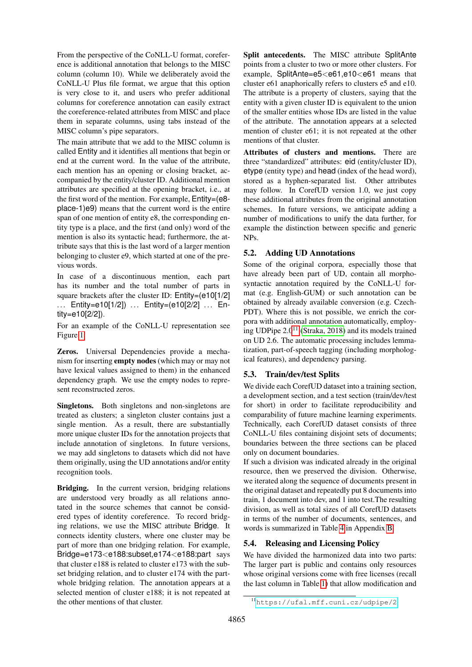From the perspective of the CoNLL-U format, coreference is additional annotation that belongs to the MISC column (column 10). While we deliberately avoid the CoNLL-U Plus file format, we argue that this option is very close to it, and users who prefer additional columns for coreference annotation can easily extract the coreference-related attributes from MISC and place them in separate columns, using tabs instead of the MISC column's pipe separators.

The main attribute that we add to the MISC column is called Entity and it identifies all mentions that begin or end at the current word. In the value of the attribute, each mention has an opening or closing bracket, accompanied by the entity/cluster ID. Additional mention attributes are specified at the opening bracket, i.e., at the first word of the mention. For example, Entity=(e8 place-1)e9) means that the current word is the entire span of one mention of entity e8, the corresponding entity type is a place, and the first (and only) word of the mention is also its syntactic head; furthermore, the attribute says that this is the last word of a larger mention belonging to cluster e9, which started at one of the previous words.

In case of a discontinuous mention, each part has its number and the total number of parts in square brackets after the cluster ID: Entity=(e10[1/2] ... Entity=e10[1/2]) ... Entity=(e10[2/2] ... Entity=e10[2/2]).

For an example of the CoNLL-U representation see Figure [1.](#page-7-2)

Zeros. Universal Dependencies provide a mechanism for inserting empty nodes (which may or may not have lexical values assigned to them) in the enhanced dependency graph. We use the empty nodes to represent reconstructed zeros.

Singletons. Both singletons and non-singletons are treated as clusters; a singleton cluster contains just a single mention. As a result, there are substantially more unique cluster IDs for the annotation projects that include annotation of singletons. In future versions, we may add singletons to datasets which did not have them originally, using the UD annotations and/or entity recognition tools.

Bridging. In the current version, bridging relations are understood very broadly as all relations annotated in the source schemes that cannot be considered types of identity coreference. To record bridging relations, we use the MISC attribute Bridge. It connects identity clusters, where one cluster may be part of more than one bridging relation. For example, Bridge=e173<e188:subset,e174<e188:part says that cluster e188 is related to cluster e173 with the subset bridging relation, and to cluster e174 with the partwhole bridging relation. The annotation appears at a selected mention of cluster e188; it is not repeated at the other mentions of that cluster.

Split antecedents. The MISC attribute SplitAnte points from a cluster to two or more other clusters. For example, SplitAnte=e5<e61,e10<e61 means that cluster e61 anaphorically refers to clusters e5 and e10. The attribute is a property of clusters, saying that the entity with a given cluster ID is equivalent to the union of the smaller entities whose IDs are listed in the value of the attribute. The annotation appears at a selected mention of cluster e61; it is not repeated at the other mentions of that cluster.

Attributes of clusters and mentions. There are three "standardized" attributes: eid (entity/cluster ID), etype (entity type) and head (index of the head word), stored as a hyphen-separated list. Other attributes may follow. In CorefUD version 1.0, we just copy these additional attributes from the original annotation schemes. In future versions, we anticipate adding a number of modifications to unify the data further, for example the distinction between specific and generic NPs.

### 5.2. Adding UD Annotations

Some of the original corpora, especially those that have already been part of UD, contain all morphosyntactic annotation required by the CoNLL-U format (e.g. English-GUM) or such annotation can be obtained by already available conversion (e.g. Czech-PDT). Where this is not possible, we enrich the corpora with additional annotation automatically, employing UDPipe  $2.0^{11}$  $2.0^{11}$  $2.0^{11}$  [\(Straka, 2018\)](#page-10-13) and its models trained on UD 2.6. The automatic processing includes lemmatization, part-of-speech tagging (including morphological features), and dependency parsing.

### <span id="page-6-1"></span>5.3. Train/dev/test Splits

We divide each CorefUD dataset into a training section, a development section, and a test section (train/dev/test for short) in order to facilitate reproducibility and comparability of future machine learning experiments. Technically, each CorefUD dataset consists of three CoNLL-U files containing disjoint sets of documents; boundaries between the three sections can be placed only on document boundaries.

If such a division was indicated already in the original resource, then we preserved the division. Otherwise, we iterated along the sequence of documents present in the original dataset and repeatedly put 8 documents into train, 1 document into dev, and 1 into test.The resulting division, as well as total sizes of all CorefUD datasets in terms of the number of documents, sentences, and words is summarized in Table [4](#page-12-0) in Appendix [B.](#page-12-1)

### 5.4. Releasing and Licensing Policy

We have divided the harmonized data into two parts: The larger part is public and contains only resources whose original versions come with free licenses (recall the last column in Table [1\)](#page-2-0) that allow modification and

<span id="page-6-0"></span><sup>11</sup><https://ufal.mff.cuni.cz/udpipe/2>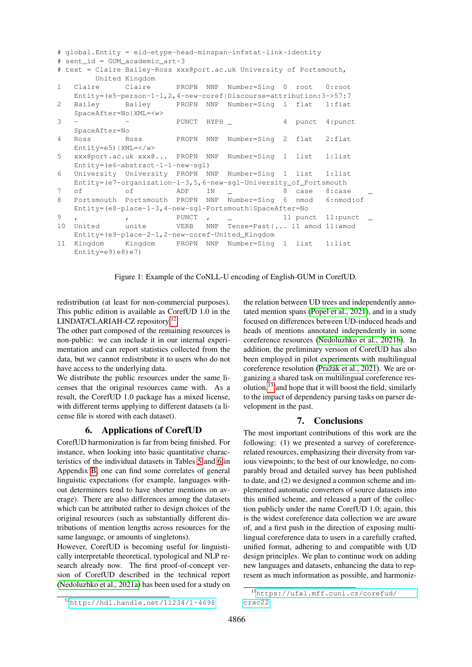```
# global.Entity = eid-etype-head-minspan-infstat-link-identity
# sent_id = GUM_academic_art-3
# text = Claire Bailey-Ross xxx@port.ac.uk University of Portsmouth,
       United Kingdom
1 Claire Claire PROPN NNP Number=Sing 0 root 0:root
   Entity=(e5-person-1-1,2,4-new-coref|Discourse=attribution:3->57:7
2 Bailey Bailey PROPN NNP Number=Sing 1 flat 1:flat
   SpaceAfter=No|XML=<w>
3 - - PUNCT HYPH - 4 punct 4:punct
   SpaceAfter=No
4 Ross Ross PROPN NNP Number=Sing 2 flat 2:flat
   Entity=e5)|XML=</w>
5 xxx@port.ac.uk xxx@... PROPN NNP Number=Sing 1 list 1:list
   Entity=(e6-abstract-1-1-new-sgl)
6 University University PROPN NNP Number=Sing 1 list 1:list
   Entity=(e7-organization-1-3,5,6-new-sgl-University_of_Portsmouth
7 of of ADP IN _ 8 case 8:case _
8 Portsmouth Portsmouth PROPN NNP Number=Sing 6 nmod 6:nmod:of
   Entity=(e8-place-1-3,4-new-sgl-Portsmouth|SpaceAfter=No
9 , , , PUNCT , <u>, 11 punct 11:punct</u>
10 United unite VERB NNP Tense=Past|... 11 amod 11:amod
   Entity=(e9-place-2-1,2-new-coref-United_Kingdom
11 Kingdom Kingdom PROPN NNP Number=Sing 1 list 1:list
   Entity=e9(e8)e7
```
<span id="page-7-2"></span>Figure 1: Example of the CoNLL-U encoding of English-GUM in CorefUD.

redistribution (at least for non-commercial purposes). This public edition is available as CorefUD 1.0 in the LINDAT/CLARIAH-CZ repository.[12](#page-7-3)

The other part composed of the remaining resources is non-public: we can include it in our internal experimentation and can report statistics collected from the data, but we cannot redistribute it to users who do not have access to the underlying data.

We distribute the public resources under the same licenses that the original resources came with. As a result, the CorefUD 1.0 package has a mixed license, with different terms applying to different datasets (a license file is stored with each dataset).

### 6. Applications of CorefUD

<span id="page-7-0"></span>CorefUD harmonization is far from being finished. For instance, when looking into basic quantitative characteristics of the individual datasets in Tables [5](#page-12-2) and [6](#page-13-0) in Appendix [B,](#page-12-1) one can find some correlates of general linguistic expectations (for example, languages without determiners tend to have shorter mentions on average). There are also differences among the datasets which can be attributed rather to design choices of the original resources (such as substantially different distributions of mention lengths across resources for the same language, or amounts of singletons).

However, CorefUD is becoming useful for linguistically interpretable theoretical, typological and NLP research already now. The first proof-of-concept version of CorefUD described in the technical report [\(Nedoluzhko et al., 2021a\)](#page-9-13) has been used for a study on the relation between UD trees and independently annotated mention spans [\(Popel et al., 2021\)](#page-9-18), and in a study focused on differences between UD-induced heads and heads of mentions annotated independently in some coreference resources [\(Nedoluzhko et al., 2021b\)](#page-9-19). In addition, the preliminary version of CorefUD has also been employed in pilot experiments with multilingual coreference resolution (Pražák et al., 2021). We are organizing a shared task on multilingual coreference resolution, $^{13}$  $^{13}$  $^{13}$  and hope that it will boost the field, similarly to the impact of dependency parsing tasks on parser development in the past.

### 7. Conclusions

<span id="page-7-1"></span>The most important contributions of this work are the following: (1) we presented a survey of coreferencerelated resources, emphasizing their diversity from various viewpoints; to the best of our knowledge, no comparably broad and detailed survey has been published to date, and (2) we designed a common scheme and implemented automatic converters of source datasets into this unified scheme, and released a part of the collection publicly under the name CorefUD 1.0; again, this is the widest coreference data collection we are aware of, and a first push in the direction of exposing multilingual coreference data to users in a carefully crafted, unified format, adhering to and compatible with UD design principles. We plan to continue work on adding new languages and datasets, enhancing the data to represent as much information as possible, and harmoniz-

<span id="page-7-3"></span><sup>12</sup><http://hdl.handle.net/11234/1-4698>

<span id="page-7-4"></span><sup>13</sup>[https://ufal.mff.cuni.cz/corefud/](https://ufal.mff.cuni.cz/corefud/crac22) [crac22](https://ufal.mff.cuni.cz/corefud/crac22)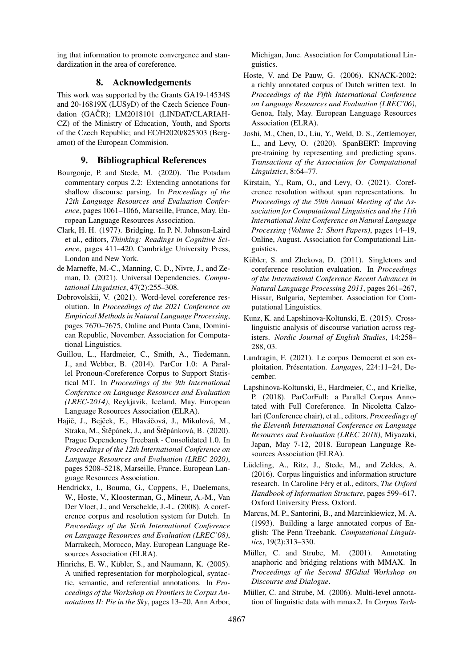ing that information to promote convergence and standardization in the area of coreference.

### 8. Acknowledgements

This work was supported by the Grants GA19-14534S and 20-16819X (LUSyD) of the Czech Science Foundation (GAČR); LM2018101 (LINDAT/CLARIAH-CZ) of the Ministry of Education, Youth, and Sports of the Czech Republic; and EC/H2020/825303 (Bergamot) of the European Commision.

# 9. Bibliographical References

- <span id="page-8-12"></span>Bourgonje, P. and Stede, M. (2020). The Potsdam commentary corpus 2.2: Extending annotations for shallow discourse parsing. In *Proceedings of the 12th Language Resources and Evaluation Conference*, pages 1061–1066, Marseille, France, May. European Language Resources Association.
- <span id="page-8-18"></span>Clark, H. H. (1977). Bridging. In P. N. Johnson-Laird et al., editors, *Thinking: Readings in Cognitive Science*, pages 411–420. Cambridge University Press, London and New York.
- <span id="page-8-0"></span>de Marneffe, M.-C., Manning, C. D., Nivre, J., and Zeman, D. (2021). Universal Dependencies. *Computational Linguistics*, 47(2):255–308.
- <span id="page-8-3"></span>Dobrovolskii, V. (2021). Word-level coreference resolution. In *Proceedings of the 2021 Conference on Empirical Methods in Natural Language Processing*, pages 7670–7675, Online and Punta Cana, Dominican Republic, November. Association for Computational Linguistics.
- <span id="page-8-5"></span>Guillou, L., Hardmeier, C., Smith, A., Tiedemann, J., and Webber, B. (2014). ParCor 1.0: A Parallel Pronoun-Coreference Corpus to Support Statistical MT. In *Proceedings of the 9th International Conference on Language Resources and Evaluation (LREC-2014)*, Reykjavik, Iceland, May. European Language Resources Association (ELRA).
- <span id="page-8-13"></span>Hajič, J., Bejček, E., Hlaváčová, J., Mikulová, M., Straka, M., Štěpánek, J., and Štěpánková, B. (2020). Prague Dependency Treebank - Consolidated 1.0. In *Proceedings of the 12th International Conference on Language Resources and Evaluation (LREC 2020)*, pages 5208–5218, Marseille, France. European Language Resources Association.
- <span id="page-8-11"></span>Hendrickx, I., Bouma, G., Coppens, F., Daelemans, W., Hoste, V., Kloosterman, G., Mineur, A.-M., Van Der Vloet, J., and Verschelde, J.-L. (2008). A coreference corpus and resolution system for Dutch. In *Proceedings of the Sixth International Conference on Language Resources and Evaluation (LREC'08)*, Marrakech, Morocco, May. European Language Resources Association (ELRA).
- <span id="page-8-8"></span>Hinrichs, E. W., Kübler, S., and Naumann, K. (2005). A unified representation for morphological, syntactic, semantic, and referential annotations. In *Proceedings of the Workshop on Frontiers in Corpus Annotations II: Pie in the Sky*, pages 13–20, Ann Arbor,

Michigan, June. Association for Computational Linguistics.

- <span id="page-8-7"></span>Hoste, V. and De Pauw, G. (2006). KNACK-2002: a richly annotated corpus of Dutch written text. In *Proceedings of the Fifth International Conference on Language Resources and Evaluation (LREC'06)*, Genoa, Italy, May. European Language Resources Association (ELRA).
- <span id="page-8-1"></span>Joshi, M., Chen, D., Liu, Y., Weld, D. S., Zettlemoyer, L., and Levy, O. (2020). SpanBERT: Improving pre-training by representing and predicting spans. *Transactions of the Association for Computational Linguistics*, 8:64–77.
- <span id="page-8-2"></span>Kirstain, Y., Ram, O., and Levy, O. (2021). Coreference resolution without span representations. In *Proceedings of the 59th Annual Meeting of the Association for Computational Linguistics and the 11th International Joint Conference on Natural Language Processing (Volume 2: Short Papers)*, pages 14–19, Online, August. Association for Computational Linguistics.
- <span id="page-8-17"></span>Kübler, S. and Zhekova, D. (2011). Singletons and coreference resolution evaluation. In *Proceedings of the International Conference Recent Advances in Natural Language Processing 2011*, pages 261–267, Hissar, Bulgaria, September. Association for Computational Linguistics.
- <span id="page-8-4"></span>Kunz, K. and Lapshinova-Koltunski, E. (2015). Crosslinguistic analysis of discourse variation across registers. *Nordic Journal of English Studies*, 14:258– 288, 03.
- <span id="page-8-14"></span>Landragin, F. (2021). Le corpus Democrat et son exploitation. Présentation. *Langages*, 224:11–24, December.
- <span id="page-8-6"></span>Lapshinova-Koltunski, E., Hardmeier, C., and Krielke, P. (2018). ParCorFull: a Parallel Corpus Annotated with Full Coreference. In Nicoletta Calzolari (Conference chair), et al., editors, *Proceedings of the Eleventh International Conference on Language Resources and Evaluation (LREC 2018)*, Miyazaki, Japan, May 7-12, 2018. European Language Resources Association (ELRA).
- <span id="page-8-15"></span>Lüdeling, A., Ritz, J., Stede, M., and Zeldes, A. (2016). Corpus linguistics and information structure research. In Caroline Féry et al., editors, *The Oxford Handbook of Information Structure*, pages 599–617. Oxford University Press, Oxford.
- <span id="page-8-16"></span>Marcus, M. P., Santorini, B., and Marcinkiewicz, M. A. (1993). Building a large annotated corpus of English: The Penn Treebank. *Computational Linguistics*, 19(2):313–330.
- <span id="page-8-9"></span>Müller, C. and Strube, M. (2001). Annotating anaphoric and bridging relations with MMAX. In *Proceedings of the Second SIGdial Workshop on Discourse and Dialogue*.
- <span id="page-8-10"></span>Müller, C. and Strube, M. (2006). Multi-level annotation of linguistic data with mmax2. In *Corpus Tech-*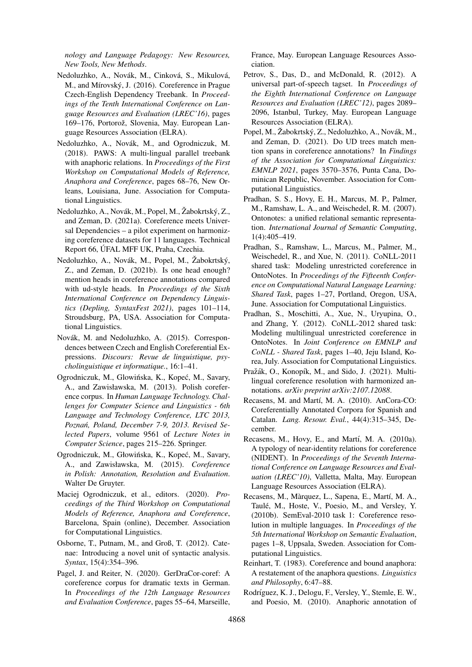*nology and Language Pedagogy: New Resources, New Tools, New Methods*.

- <span id="page-9-3"></span>Nedoluzhko, A., Novák, M., Cinková, S., Mikulová, M., and Mírovský, J. (2016). Coreference in Prague Czech-English Dependency Treebank. In *Proceedings of the Tenth International Conference on Language Resources and Evaluation (LREC'16)*, pages 169–176, Portorož, Slovenia, May. European Language Resources Association (ELRA).
- <span id="page-9-4"></span>Nedoluzhko, A., Novák, M., and Ogrodniczuk, M. (2018). PAWS: A multi-lingual parallel treebank with anaphoric relations. In *Proceedings of the First Workshop on Computational Models of Reference, Anaphora and Coreference*, pages 68–76, New Orleans, Louisiana, June. Association for Computational Linguistics.
- <span id="page-9-13"></span>Nedoluzhko, A., Novák, M., Popel, M., Žabokrtský, Z., and Zeman, D. (2021a). Coreference meets Universal Dependencies – a pilot experiment on harmonizing coreference datasets for 11 languages. Technical Report 66, UFAL MFF UK, Praha, Czechia. ´
- <span id="page-9-19"></span>Nedoluzhko, A., Novák, M., Popel, M., Žabokrtský, Z., and Zeman, D. (2021b). Is one head enough? mention heads in coreference annotations compared with ud-style heads. In *Proceedings of the Sixth International Conference on Dependency Linguistics (Depling, SyntaxFest 2021)*, pages 101–114, Stroudsburg, PA, USA. Association for Computational Linguistics.
- <span id="page-9-1"></span>Novák, M. and Nedoluzhko, A. (2015). Correspondences between Czech and English Coreferential Expressions. *Discours: Revue de linguistique, psycholinguistique et informatique.*, 16:1–41.
- <span id="page-9-10"></span>Ogrodniczuk, M., Glowińska, K., Kopeć, M., Savary, A., and Zawisławska, M. (2013). Polish coreference corpus. In *Human Language Technology. Challenges for Computer Science and Linguistics - 6th Language and Technology Conference, LTC 2013, Poznan, Poland, December 7-9, 2013. Revised Se- ´ lected Papers*, volume 9561 of *Lecture Notes in Computer Science*, pages 215–226. Springer.
- <span id="page-9-14"></span>Ogrodniczuk, M., Głowińska, K., Kopeć, M., Savary, A., and Zawisławska, M. (2015). *Coreference in Polish: Annotation, Resolution and Evaluation*. Walter De Gruyter.
- <span id="page-9-12"></span>Maciej Ogrodniczuk, et al., editors. (2020). *Proceedings of the Third Workshop on Computational Models of Reference, Anaphora and Coreference*, Barcelona, Spain (online), December. Association for Computational Linguistics.
- <span id="page-9-17"></span>Osborne, T., Putnam, M., and Groß, T. (2012). Catenae: Introducing a novel unit of syntactic analysis. *Syntax*, 15(4):354–396.
- <span id="page-9-11"></span>Pagel, J. and Reiter, N. (2020). GerDraCor-coref: A coreference corpus for dramatic texts in German. In *Proceedings of the 12th Language Resources and Evaluation Conference*, pages 55–64, Marseille,

France, May. European Language Resources Association.

- <span id="page-9-0"></span>Petrov, S., Das, D., and McDonald, R. (2012). A universal part-of-speech tagset. In *Proceedings of the Eighth International Conference on Language Resources and Evaluation (LREC'12)*, pages 2089– 2096, Istanbul, Turkey, May. European Language Resources Association (ELRA).
- <span id="page-9-18"></span>Popel, M., Žabokrtský, Z., Nedoluzhko, A., Novák, M., and Zeman, D. (2021). Do UD trees match mention spans in coreference annotations? In *Findings of the Association for Computational Linguistics: EMNLP 2021*, pages 3570–3576, Punta Cana, Dominican Republic, November. Association for Computational Linguistics.
- <span id="page-9-6"></span>Pradhan, S. S., Hovy, E. H., Marcus, M. P., Palmer, M., Ramshaw, L. A., and Weischedel, R. M. (2007). Ontonotes: a unified relational semantic representation. *International Journal of Semantic Computing*, 1(4):405–419.
- <span id="page-9-8"></span>Pradhan, S., Ramshaw, L., Marcus, M., Palmer, M., Weischedel, R., and Xue, N. (2011). CoNLL-2011 shared task: Modeling unrestricted coreference in OntoNotes. In *Proceedings of the Fifteenth Conference on Computational Natural Language Learning: Shared Task*, pages 1–27, Portland, Oregon, USA, June. Association for Computational Linguistics.
- <span id="page-9-9"></span>Pradhan, S., Moschitti, A., Xue, N., Uryupina, O., and Zhang, Y. (2012). CoNLL-2012 shared task: Modeling multilingual unrestricted coreference in OntoNotes. In *Joint Conference on EMNLP and CoNLL - Shared Task*, pages 1–40, Jeju Island, Korea, July. Association for Computational Linguistics.
- <span id="page-9-20"></span>Pražák, O., Konopík, M., and Sido, J. (2021). Multilingual coreference resolution with harmonized annotations. *arXiv preprint arXiv:2107.12088*.
- <span id="page-9-2"></span>Recasens, M. and Martí, M. A. (2010). AnCora-CO: Coreferentially Annotated Corpora for Spanish and Catalan. *Lang. Resour. Eval.*, 44(4):315–345, December.
- <span id="page-9-15"></span>Recasens, M., Hovy, E., and Martí, M. A. (2010a). A typology of near-identity relations for coreference (NIDENT). In *Proceedings of the Seventh International Conference on Language Resources and Evaluation (LREC'10)*, Valletta, Malta, May. European Language Resources Association (ELRA).
- <span id="page-9-5"></span>Recasens, M., Màrquez, L., Sapena, E., Martí, M. A., Taulé, M., Hoste, V., Poesio, M., and Versley, Y. (2010b). SemEval-2010 task 1: Coreference resolution in multiple languages. In *Proceedings of the 5th International Workshop on Semantic Evaluation*, pages 1–8, Uppsala, Sweden. Association for Computational Linguistics.
- <span id="page-9-16"></span>Reinhart, T. (1983). Coreference and bound anaphora: A restatement of the anaphora questions. *Linguistics and Philosophy*, 6:47–88.
- <span id="page-9-7"></span>Rodríguez, K. J., Delogu, F., Versley, Y., Stemle, E. W., and Poesio, M. (2010). Anaphoric annotation of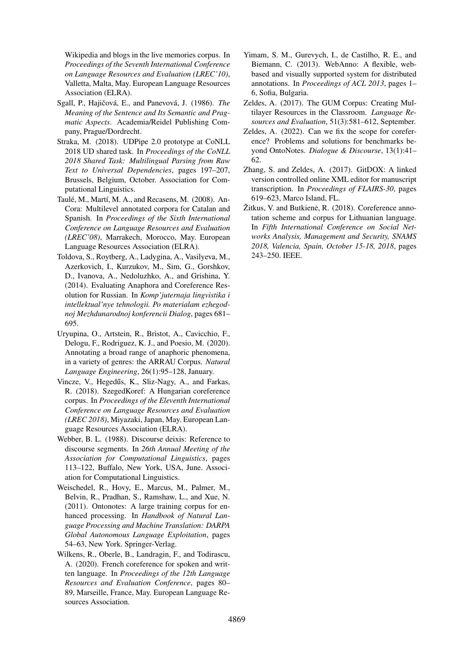Wikipedia and blogs in the live memories corpus. In *Proceedings of the Seventh International Conference on Language Resources and Evaluation (LREC'10)*, Valletta, Malta, May. European Language Resources Association (ELRA).

- <span id="page-10-11"></span>Sgall, P., Hajičová, E., and Panevová, J. (1986). *The Meaning of the Sentence and Its Semantic and Pragmatic Aspects*. Academia/Reidel Publishing Company, Prague/Dordrecht.
- <span id="page-10-13"></span>Straka, M. (2018). UDPipe 2.0 prototype at CoNLL 2018 UD shared task. In *Proceedings of the CoNLL 2018 Shared Task: Multilingual Parsing from Raw Text to Universal Dependencies*, pages 197–207, Brussels, Belgium, October. Association for Computational Linguistics.
- <span id="page-10-9"></span>Taulé, M., Martí, M. A., and Recasens, M. (2008). An-Cora: Multilevel annotated corpora for Catalan and Spanish. In *Proceedings of the Sixth International Conference on Language Resources and Evaluation (LREC'08)*, Marrakech, Morocco, May. European Language Resources Association (ELRA).
- <span id="page-10-7"></span>Toldova, S., Roytberg, A., Ladygina, A., Vasilyeva, M., Azerkovich, I., Kurzukov, M., Sim, G., Gorshkov, D., Ivanova, A., Nedoluzhko, A., and Grishina, Y. (2014). Evaluating Anaphora and Coreference Resolution for Russian. In *Komp'juternaja lingvistika i intellektual'nye tehnologii. Po materialam ezhegodnoj Mezhdunarodnoj konferencii Dialog*, pages 681– 695.
- <span id="page-10-1"></span>Uryupina, O., Artstein, R., Bristot, A., Cavicchio, F., Delogu, F., Rodriguez, K. J., and Poesio, M. (2020). Annotating a broad range of anaphoric phenomena, in a variety of genres: the ARRAU Corpus. *Natural Language Engineering*, 26(1):95–128, January.
- <span id="page-10-2"></span>Vincze, V., Hegedűs, K., Sliz-Nagy, A., and Farkas, R. (2018). SzegedKoref: A Hungarian coreference corpus. In *Proceedings of the Eleventh International Conference on Language Resources and Evaluation (LREC 2018)*, Miyazaki, Japan, May. European Language Resources Association (ELRA).
- <span id="page-10-12"></span>Webber, B. L. (1988). Discourse deixis: Reference to discourse segments. In *26th Annual Meeting of the Association for Computational Linguistics*, pages 113–122, Buffalo, New York, USA, June. Association for Computational Linguistics.
- <span id="page-10-0"></span>Weischedel, R., Hovy, E., Marcus, M., Palmer, M., Belvin, R., Pradhan, S., Ramshaw, L., and Xue, N. (2011). Ontonotes: A large training corpus for enhanced processing. In *Handbook of Natural Language Processing and Machine Translation: DARPA Global Autonomous Language Exploitation*, pages 54–63, New York. Springer-Verlag.
- <span id="page-10-8"></span>Wilkens, R., Oberle, B., Landragin, F., and Todirascu, A. (2020). French coreference for spoken and written language. In *Proceedings of the 12th Language Resources and Evaluation Conference*, pages 80– 89, Marseille, France, May. European Language Resources Association.
- <span id="page-10-3"></span>Yimam, S. M., Gurevych, I., de Castilho, R. E., and Biemann, C. (2013). WebAnno: A flexible, webbased and visually supported system for distributed annotations. In *Proceedings of ACL 2013*, pages 1– 6, Sofia, Bulgaria.
- <span id="page-10-4"></span>Zeldes, A. (2017). The GUM Corpus: Creating Multilayer Resources in the Classroom. *Language Resources and Evaluation*, 51(3):581–612, September.
- <span id="page-10-10"></span>Zeldes, A. (2022). Can we fix the scope for coreference? Problems and solutions for benchmarks beyond OntoNotes. *Dialogue & Discourse*, 13(1):41– 62.
- <span id="page-10-5"></span>Zhang, S. and Zeldes, A. (2017). GitDOX: A linked version controlled online XML editor for manuscript transcription. In *Proceedings of FLAIRS-30*, pages 619–623, Marco Island, FL.
- <span id="page-10-6"></span>Žitkus, V. and Butkienė, R. (2018). Coreference annotation scheme and corpus for Lithuanian language. In *Fifth International Conference on Social Networks Analysis, Management and Security, SNAMS 2018, Valencia, Spain, October 15-18, 2018*, pages 243–250. IEEE.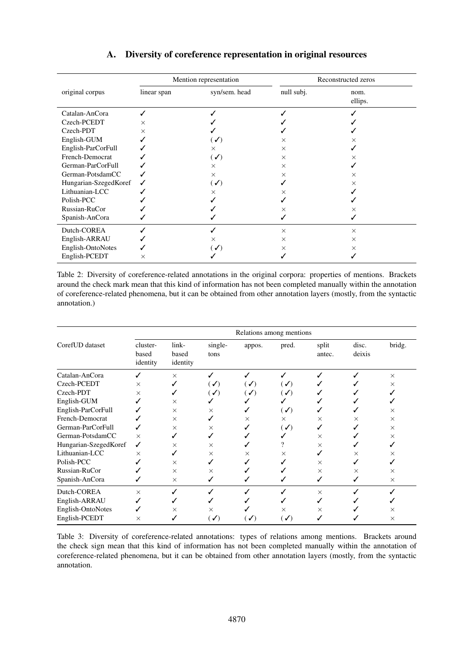<span id="page-11-2"></span>

|                       |             | Mention representation |            | Reconstructed zeros |  |
|-----------------------|-------------|------------------------|------------|---------------------|--|
| original corpus       | linear span | syn/sem. head          | null subj. | nom.<br>ellips.     |  |
| Catalan-AnCora        |             |                        |            |                     |  |
| Czech-PCEDT           | $\times$    |                        |            |                     |  |
| Czech-PDT             | $\times$    |                        |            |                     |  |
| English-GUM           |             | (✔)                    | ×          |                     |  |
| English-ParCorFull    |             | $\times$               | $\times$   |                     |  |
| French-Democrat       |             | $(\sqrt{2})$           | $\times$   |                     |  |
| German-ParCorFull     |             | $\times$               | $\times$   |                     |  |
| German-PotsdamCC      |             | $\times$               | $\times$   | $\times$            |  |
| Hungarian-SzegedKoref |             | $(\sqrt{ }$            |            | ×                   |  |
| Lithuanian-LCC        |             | ×                      | ×          |                     |  |
| Polish-PCC            |             |                        |            |                     |  |
| Russian-RuCor         |             |                        | ×          | ×                   |  |
| Spanish-AnCora        |             |                        |            |                     |  |
| Dutch-COREA           |             |                        | $\times$   | $\times$            |  |
| English-ARRAU         |             | ×                      | $\times$   | ×                   |  |
| English-OntoNotes     |             | $\mathcal{L}$          | $\times$   | ×                   |  |
| English-PCEDT         | ×           |                        |            |                     |  |

# A. Diversity of coreference representation in original resources

<span id="page-11-0"></span>Table 2: Diversity of coreference-related annotations in the original corpora: properties of mentions. Brackets around the check mark mean that this kind of information has not been completed manually within the annotation of coreference-related phenomena, but it can be obtained from other annotation layers (mostly, from the syntactic annotation.)

|                       | Relations among mentions      |                            |                            |                |                |                 |                 |          |  |
|-----------------------|-------------------------------|----------------------------|----------------------------|----------------|----------------|-----------------|-----------------|----------|--|
| CorefUD dataset       | cluster-<br>based<br>identity | link-<br>based<br>identity | single-<br>tons            | appos.         | pred.          | split<br>antec. | disc.<br>deixis | bridg.   |  |
| Catalan-AnCora        |                               | $\times$                   | ✓                          |                |                |                 |                 | $\times$ |  |
| Czech-PCEDT           | X                             |                            | $\mathcal{L}(\mathcal{L})$ | $(\sqrt{2})$   | $(\checkmark)$ |                 |                 | $\times$ |  |
| Czech-PDT             | X                             |                            | $(\checkmark)$             | $(\sqrt{2})$   | $(\checkmark)$ |                 |                 |          |  |
| English-GUM           |                               | $\times$                   |                            |                |                |                 |                 |          |  |
| English-ParCorFull    |                               | $\times$                   | X                          |                | $(\checkmark)$ |                 |                 | ×        |  |
| French-Democrat       |                               | $\times$                   |                            | $\times$       | $\times$       | $\times$        | ×               | $\times$ |  |
| German-ParCorFull     |                               | $\times$                   | X                          |                | $(\checkmark)$ |                 |                 | $\times$ |  |
| German-PotsdamCC      | $\times$                      |                            |                            |                |                | $\times$        |                 | ×        |  |
| Hungarian-SzegedKoref | ✓                             | $\times$                   | X                          |                |                | $\times$        |                 |          |  |
| Lithuanian-LCC        | $\times$                      | ✓                          | $\times$                   | ×              | X              |                 | ×               | ×        |  |
| Polish-PCC            |                               | $\times$                   |                            |                |                | $\times$        |                 |          |  |
| Russian-RuCor         |                               | $\times$                   | X                          |                |                | $\times$        | $\times$        | $\times$ |  |
| Spanish-AnCora        |                               | $\times$                   |                            |                |                | ✓               |                 | $\times$ |  |
| Dutch-COREA           | $\times$                      |                            |                            |                |                | $\times$        |                 |          |  |
| English-ARRAU         |                               |                            |                            |                |                |                 |                 |          |  |
| English-OntoNotes     |                               | X                          | ×                          |                | $\times$       | ×               |                 | ×        |  |
| English-PCEDT         | X                             |                            | $(\checkmark)$             | $(\checkmark)$ | $(\checkmark)$ |                 |                 | $\times$ |  |

<span id="page-11-1"></span>Table 3: Diversity of coreference-related annotations: types of relations among mentions. Brackets around the check sign mean that this kind of information has not been completed manually within the annotation of coreference-related phenomena, but it can be obtained from other annotation layers (mostly, from the syntactic annotation.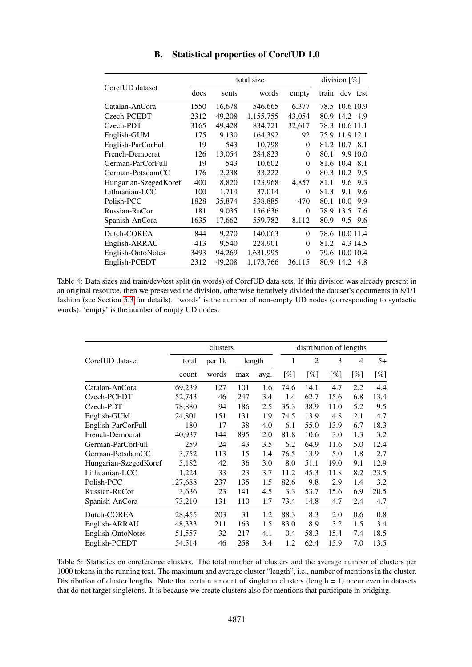<span id="page-12-1"></span>

|                       |      | total size | division $[\%]$ |          |       |                |     |
|-----------------------|------|------------|-----------------|----------|-------|----------------|-----|
| CorefUD dataset       | docs | sents      | words           | empty    | train | dev test       |     |
| Catalan-AnCora        | 1550 | 16,678     | 546,665         | 6,377    |       | 78.5 10.6 10.9 |     |
| Czech-PCEDT           | 2312 | 49,208     | 1,155,755       | 43,054   | 80.9  | 14.2 4.9       |     |
| Czech-PDT             | 3165 | 49,428     | 834,721         | 32,617   | 78.3  | 10.6 11.1      |     |
| English-GUM           | 175  | 9,130      | 164,392         | 92       | 75.9  | 11.9 12.1      |     |
| English-ParCorFull    | 19   | 543        | 10,798          | $\theta$ |       | 81.2 10.7 8.1  |     |
| French-Democrat       | 126  | 13,054     | 284,823         | 0        | 80.1  | 9.9 10.0       |     |
| German-ParCorFull     | 19   | 543        | 10,602          | $\theta$ | 81.6  | 10.4           | 8.1 |
| German-PotsdamCC      | 176  | 2,238      | 33,222          | $\theta$ | 80.3  | 10.2           | 9.5 |
| Hungarian-SzegedKoref | 400  | 8,820      | 123,968         | 4,857    | 81.1  | 9.6            | 9.3 |
| Lithuanian-LCC        | 100  | 1,714      | 37,014          | 0        | 81.3  | 9.1            | 9.6 |
| Polish-PCC            | 1828 | 35,874     | 538,885         | 470      | 80.1  | 10.0           | 9.9 |
| Russian-RuCor         | 181  | 9,035      | 156,636         | $\theta$ | 78.9  | 13.5           | 7.6 |
| Spanish-AnCora        | 1635 | 17,662     | 559,782         | 8,112    | 80.9  | 9.5            | 9.6 |
| Dutch-COREA           | 844  | 9,270      | 140,063         | $\theta$ | 78.6  | 10.0 11.4      |     |
| English-ARRAU         | 413  | 9,540      | 228,901         | $\theta$ | 81.2  | 4.3 14.5       |     |
| English-OntoNotes     | 3493 | 94,269     | 1,631,995       | $\theta$ | 79.6  | 10.0 10.4      |     |
| English-PCEDT         | 2312 | 49,208     | 1,173,766       | 36,115   |       | 80.9 14.2      | 4.8 |

B. Statistical properties of CorefUD 1.0

<span id="page-12-0"></span>Table 4: Data sizes and train/dev/test split (in words) of CorefUD data sets. If this division was already present in an original resource, then we preserved the division, otherwise iteratively divided the dataset's documents in 8/1/1 fashion (see Section [5.3](#page-6-1) for details). 'words' is the number of non-empty UD nodes (corresponding to syntactic words). 'empty' is the number of empty UD nodes.

|                       |         | distribution of lengths |     |      |                |        |      |      |        |
|-----------------------|---------|-------------------------|-----|------|----------------|--------|------|------|--------|
| CorefUD dataset       | total   | per 1k<br>length        |     | 1    | $\overline{2}$ | 3      | 4    | $5+$ |        |
|                       | count   | words                   | max | avg. | [%]            | $[\%]$ | [%]  | [%]  | $[\%]$ |
| Catalan-AnCora        | 69,239  | 127                     | 101 | 1.6  | 74.6           | 14.1   | 4.7  | 2.2  | 4.4    |
| Czech-PCEDT           | 52,743  | 46                      | 247 | 3.4  | 1.4            | 62.7   | 15.6 | 6.8  | 13.4   |
| Czech-PDT             | 78.880  | 94                      | 186 | 2.5  | 35.3           | 38.9   | 11.0 | 5.2  | 9.5    |
| English-GUM           | 24,801  | 151                     | 131 | 1.9  | 74.5           | 13.9   | 4.8  | 2.1  | 4.7    |
| English-ParCorFull    | 180     | 17                      | 38  | 4.0  | 6.1            | 55.0   | 13.9 | 6.7  | 18.3   |
| French-Democrat       | 40,937  | 144                     | 895 | 2.0  | 81.8           | 10.6   | 3.0  | 1.3  | 3.2    |
| German-ParCorFull     | 259     | 24                      | 43  | 3.5  | 6.2            | 64.9   | 11.6 | 5.0  | 12.4   |
| German-PotsdamCC      | 3,752   | 113                     | 15  | 1.4  | 76.5           | 13.9   | 5.0  | 1.8  | 2.7    |
| Hungarian-SzegedKoref | 5,182   | 42                      | 36  | 3.0  | 8.0            | 51.1   | 19.0 | 9.1  | 12.9   |
| Lithuanian-LCC        | 1,224   | 33                      | 23  | 3.7  | 11.2           | 45.3   | 11.8 | 8.2  | 23.5   |
| Polish-PCC            | 127,688 | 237                     | 135 | 1.5  | 82.6           | 9.8    | 2.9  | 1.4  | 3.2    |
| Russian-RuCor         | 3,636   | 23                      | 141 | 4.5  | 3.3            | 53.7   | 15.6 | 6.9  | 20.5   |
| Spanish-AnCora        | 73,210  | 131                     | 110 | 1.7  | 73.4           | 14.8   | 4.7  | 2.4  | 4.7    |
| Dutch-COREA           | 28,455  | 203                     | 31  | 1.2  | 88.3           | 8.3    | 2.0  | 0.6  | 0.8    |
| English-ARRAU         | 48,333  | 211                     | 163 | 1.5  | 83.0           | 8.9    | 3.2  | 1.5  | 3.4    |
| English-OntoNotes     | 51,557  | 32                      | 217 | 4.1  | 0.4            | 58.3   | 15.4 | 7.4  | 18.5   |
| English-PCEDT         | 54,514  | 46                      | 258 | 3.4  | 1.2            | 62.4   | 15.9 | 7.0  | 13.5   |

<span id="page-12-2"></span>Table 5: Statistics on coreference clusters. The total number of clusters and the average number of clusters per 1000 tokens in the running text. The maximum and average cluster "length", i.e., number of mentions in the cluster. Distribution of cluster lengths. Note that certain amount of singleton clusters (length  $= 1$ ) occur even in datasets that do not target singletons. It is because we create clusters also for mentions that participate in bridging.